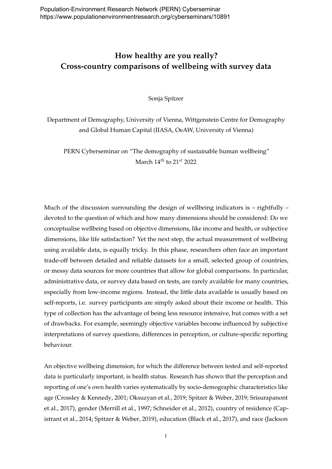## **How healthy are you really? Cross-country comparisons of wellbeing with survey data**

Sonja Spitzer

Department of Demography, University of Vienna, Wittgenstein Centre for Demography and Global Human Capital (IIASA, OeAW, University of Vienna)

PERN Cyberseminar on "The demography of sustainable human wellbeing" March 14*th* to 21*st* 2022

Much of the discussion surrounding the design of wellbeing indicators is  $-$  rightfully  $$ devoted to the question of which and how many dimensions should be considered: Do we conceptualise wellbeing based on objective dimensions, like income and health, or subjective dimensions, like life satisfaction? Yet the next step, the actual measurement of wellbeing using available data, is equally tricky. In this phase, researchers often face an important trade-off between detailed and reliable datasets for a small, selected group of countries, or messy data sources for more countries that allow for global comparisons. In particular, administrative data, or survey data based on tests, are rarely available for many countries, especially from low-income regions. Instead, the little data available is usually based on self-reports, i.e. survey participants are simply asked about their income or health. This type of collection has the advantage of being less resource intensive, but comes with a set of drawbacks. For example, seemingly objective variables become influenced by subjective interpretations of survey questions, differences in perception, or culture-specific reporting behaviour.

An objective wellbeing dimension, for which the difference between tested and self-reported data is particularly important, is health status. Research has shown that the perception and reporting of one's own health varies systematically by socio-demographic characteristics like age (Crossley & Kennedy, [2001;](#page-2-0) Oksuzyan et al., [2019;](#page-2-1) Spitzer & Weber, [2019;](#page-2-2) Srisurapanont et al., [2017\)](#page-2-3), gender (Merrill et al., [1997;](#page-2-4) Schneider et al., [2012\)](#page-2-5), country of residence (Capistrant et al., [2014;](#page-2-6) Spitzer & Weber, [2019\)](#page-2-2), education (Black et al., [2017\)](#page-2-7), and race (Jackson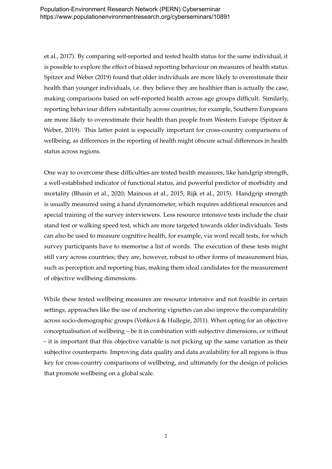et al., [2017\)](#page-2-8). By comparing self-reported and tested health status for the same individual, it is possible to explore the effect of biased reporting behaviour on measures of health status. Spitzer and Weber [\(2019\)](#page-2-2) found that older individuals are more likely to overestimate their health than younger individuals, i.e. they believe they are healthier than is actually the case, making comparisons based on self-reported health across age groups difficult. Similarly, reporting behaviour differs substantially across countries; for example, Southern Europeans are more likely to overestimate their health than people from Western Europe (Spitzer & Weber, [2019\)](#page-2-2). This latter point is especially important for cross-country comparisons of wellbeing, as differences in the reporting of health might obscure actual differences in health status across regions.

One way to overcome these difficulties are tested health measures, like handgrip strength, a well-established indicator of functional status, and powerful predictor of morbidity and mortality (Bhasin et al., [2020;](#page-2-9) Mainous et al., [2015;](#page-2-10) Rijk et al., [2015\)](#page-2-11). Handgrip strength is usually measured using a hand dynamometer, which requires additional resources and special training of the survey interviewers. Less resource intensive tests include the chair stand test or walking speed test, which are more targeted towards older individuals. Tests can also be used to measure cognitive health, for example, via word recall tests, for which survey participants have to memorise a list of words. The execution of these tests might still vary across countries; they are, however, robust to other forms of measurement bias, such as perception and reporting bias, making them ideal candidates for the measurement of objective wellbeing dimensions.

While these tested wellbeing measures are resource intensive and not feasible in certain settings, approaches like the use of anchoring vignettes can also improve the comparability across socio-demographic groups (Voňková & Hullegie, [2011\)](#page-2-12). When opting for an objective conceptualisation of wellbeing – be it in combination with subjective dimensions, or without – it is important that this objective variable is not picking up the same variation as their subjective counterparts. Improving data quality and data availability for all regions is thus key for cross-country comparisons of wellbeing, and ultimately for the design of policies that promote wellbeing on a global scale.